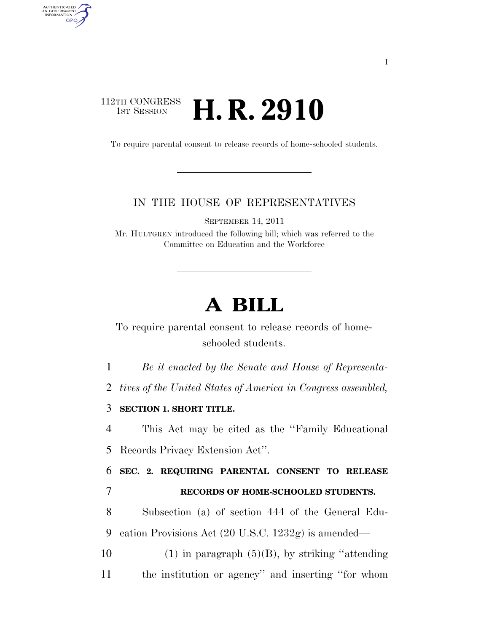## 112TH CONGRESS **1st Session H. R. 2910**

AUTHENTICATED<br>U.S. GOVERNMENT<br>INFORMATION GPO

To require parental consent to release records of home-schooled students.

## IN THE HOUSE OF REPRESENTATIVES

SEPTEMBER 14, 2011

Mr. HULTGREN introduced the following bill; which was referred to the Committee on Education and the Workforce

## **A BILL**

To require parental consent to release records of homeschooled students.

1 *Be it enacted by the Senate and House of Representa-*

2 *tives of the United States of America in Congress assembled,* 

3 **SECTION 1. SHORT TITLE.** 

4 This Act may be cited as the ''Family Educational 5 Records Privacy Extension Act''.

6 **SEC. 2. REQUIRING PARENTAL CONSENT TO RELEASE**  7 **RECORDS OF HOME-SCHOOLED STUDENTS.** 

8 Subsection (a) of section 444 of the General Edu-9 cation Provisions Act (20 U.S.C. 1232g) is amended—

10 (1) in paragraph  $(5)(B)$ , by striking "attending" 11 the institution or agency'' and inserting ''for whom